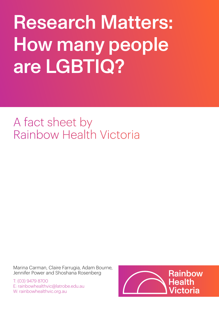# Research Matters: How many people are LGBTIQ?

# A fact sheet by Rainbow Health Victoria

Marina Carman, Claire Farrugia, Adam Bourne, Jennifer Power and Shoshana Rosenberg

T: (03) 9479 8700 E: rainbowhealthvic@latrobe.edu.au W: rainbowhealthvic.org.au

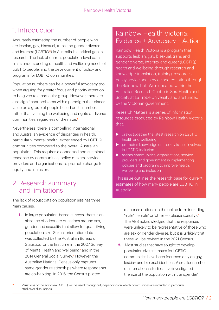# 1. Introduction

Accurately estimating the number of people who are lesbian, gay, bisexual, trans and gender diverse and intersex (LGBTIQ**\***) in Australia is a critical gap in research. The lack of current population-level data limits understanding of health and wellbeing needs of LGBTIQ people, and the development of policy and programs for LGBTIQ communities.

Population numbers can be a powerful advocacy tool when arguing for greater focus and priority attention to be given to a particular group. However, there are also significant problems with a paradigm that places value on a group of people based on its number, rather than valuing the wellbeing and rights of diverse communities, regardless of their size.<sup>1</sup>

Nevertheless, there is compelling international and Australian evidence of disparities in health, particularly mental health, experienced by LGBTIQ communities compared to the overall Australian population. This requires a concerted and sustained response by communities, policy makers, service providers and organisations, to promote change for equity and inclusion.

#### 2. Research summary and limitations

The lack of robust data on population size has three main causes.

**1.** In large population-based surveys, there is an absence of adequate questions around sex, gender and sexuality that allow for quantifying population size. Sexual orientation data was collected by the Australian Bureau of Statistics for the first time in the 2007 Survey of Mental Health and Wellbeing<sup>2</sup> and in the 2014 General Social Survey.<sup>3</sup> However, the Australian National Census only captures same-gender relationships where respondents are co-habiting. In 2016, the Census piloted

#### Rainbow Health Victoria: Evidence + Advocacy + Action

Rainbow Health Victoria is a program that supports lesbian, gay, bisexual, trans and gender diverse, intersex and queer (LGBTIQ) health and wellbeing through research and knowledge translation, training, resources, policy advice and service accreditation through the Rainbow Tick. We're located within the Australian Research Centre in Sex, Health and Society at La Trobe University and are funded by the Victorian government.

Research Matters is a series of information resources produced by Rainbow Health Victoria that:

- ▶ draws together the latest research on LGBTIQ health and wellbeing
- $\triangleright$  promotes knowledge on the key issues involved in LGBTIQ inclusion
- $\blacktriangleright$  assists communities, organisations, service providers and government in implementing policies and programs to improve health, wellbeing and inclusion

This issue outlines the research base for current estimates of how many people are LGBTIQ in Australia.

response options on the online form including 'male', 'female' or 'other — (please specify)'.<sup>4</sup> The ABS acknowledged that the responses were unlikely to be representative of those who are sex or gender-diverse, but it is unlikely that these will be revised in the 2021 Census.

- **2.** Most studies that have sought to develop population size estimates for LGBTIQ communities have been focussed only on gay, lesbian and bisexual identities. A smaller number of international studies have investigated the size of the population with 'transgender'
- **\*** Variations of the acronym LGBTIQ will be used throughout, depending on which communities are included in particular studies or discussions.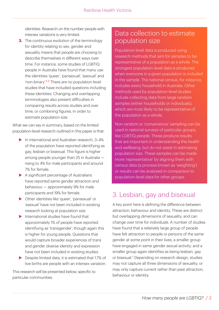identities. Research on the number people with intersex variations is very limited.

**3.** The continuous evolution of the terminology for identity relating to sex, gender and sexuality means that people are choosing to describe themselves in different ways over time. For instance, some studies of LGBTIQ people in Australia have found that many use the identities 'queer', 'pansexual', 'asexual' and 'non-binary'.5-6 There are no population level studies that have included questions including these identities. Changing and overlapping terminologies also present difficulties in comparing results across studies and over time, or combining figures, in order to estimate population size.

What we can say in summary, based on the limited population-level research outlined in this paper is that:

- $\blacktriangleright$  In international and Australian research, 3-4% of the population have reported identifying as gay, lesbian or bisexual. This figure is higher among people younger than 25 in Australia rising to 4% for male participants and around 7% for female.
- $\blacktriangleright$  A significant percentage of Australians have reported same gender attraction and behaviour — approximately 9% for male participants and 19% for female.
- ▶ Other identities like 'queer', 'pansexual' or 'asexual' have not been included in existing research looking at population size.
- $\blacktriangleright$  International studies have found that approximately 1% of people have reported identifying as 'transgender', though again this is higher for young people. Questions that would capture broader experiences of trans and gender diverse identity and expression have not been included in existing studies.
- $\blacktriangleright$  Despite limited data, it is estimated that 1.7% of live births are people with an intersex variation.

This research will be presented below, specific to particular communities.

#### Data collection to estimate population size

Population-level data is produced using research methods that aim for samples to be representative of a population as a whole. The strongest population-level data is produced when everyone in a given population is included in the sample. The national census, for instance, includes every household in Australia. Other methods used by population-level studies include collecting data from large random samples (either households or individuals), which are most likely to be representative of the population as a whole.

Non-random or 'convenience' sampling can be used in national surveys of particular groups, like LGBTIQ people. These produce results that are important in understanding the health and wellbeing, but do not assist in estimating population size. These samples can be made more 'representative' by aligning them with census data (a process known as 'weighting') or results can be analysed in comparison to population-level data for other groups.

## 3. Lesbian, gay and bisexual

A key point here is defining the difference between attraction, behaviour and identity. These are distinct but overlapping dimensions of sexuality, and can change over time for individuals. A number of studies have found that a relatively large group of people have felt attraction to people or persons of the same gender at some point in their lives; a smaller group have engaged in same gender sexual activity; and a smaller group again identifies as being lesbian, gay or bisexual.<sup>7</sup> Depending on research design, studies may not capture all three dimensions of sexuality, or may only capture current rather than past attraction, behaviour or identity.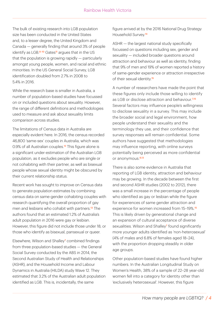The bulk of existing research into LGB population size has been conducted in the United States and, to a lesser degree, the United Kingdom and Canada — generally finding that around 3% of people identify as LGB.<sup>8-10</sup> Gates<sup>11</sup> argues that in the US that the population is growing rapidly — particularly amongst young people, women, and racial and ethnic minorities. In the US General Social Survey, LGB identification doubled from 2.7% in 2008 to 5.4% in 2016.

While the research base is smaller in Australia, a number of population-based studies have focussed on or included questions about sexuality. However, the range of different definitions and methodologies used to measure and ask about sexuality limits comparison across studies.

The limitations of Census data in Australia are especially evident here. In 2016, the census recorded 46,800 'same-sex' couples in Australia, which was 0.9% of all Australian couples.<sup>12</sup> This figure alone is a significant under-estimation of the Australian LGB population, as it excludes people who are single or not cohabiting with their partner, as well as bisexual people whose sexual identity might be obscured by their current relationship status.

Recent work has sought to improve on Census data to generate population estimates by combining census data on same-gender cohabiting couples with research quantifying the overall proportion of gay men and lesbians who cohabit with partners.<sup>13</sup> The authors found that an estimated 1.2% of Australia's adult population in 2016 were gay or lesbian. However, this figure did not include those under 18, or those who identify as bisexual, pansexual or queer.

Elsewhere, Wilson and Shalley<sup>7</sup> combined findings from three population-based studies — the General Social Survey conducted by the ABS in 2014, the Second Australian Study of Health and Relationships (ASHR), and the Household Income and Labour Dynamics in Australia (HILDA) study Wave 12. They estimated that 3.2% of the Australian adult population identified as LGB. This is, incidentally, the same

figure arrived at by the 2016 National Drug Strategy Household Survey.<sup>14</sup>

ASHR — the largest national study specifically focussed on questions including sex, gender and sexuality — included broader questions around attraction and behaviour as well as identity, finding that 9% of men and 19% of women reported a history of same-gender experience or attraction irrespective of their sexual identity.<sup>15</sup>

A number of researchers have made the point that these figures only include those willing to identify as LGB or disclose attraction and behaviour.<sup>7,15</sup> Several factors may influence people's willingness to disclose sexuality in a survey. This may include the broader social and legal environment, how people understand their sexuality and the terminology they use, and their confidence that survey responses will remain confidential. Some authors have suggested that methodologies may influence reporting, with online surveys potentially being perceived as more confidential or anonymous.<sup>8,13</sup>

There is also some evidence in Australia that reporting of LGB identity, attraction and behaviour may be growing. In the decade between the first and second ASHR studies (2002 to 2012), there was a small increase in the percentage of people who identified as gay or lesbian while the figure for experiences of same gender attraction and experience for women increased from 15–19%.<sup>15</sup> This is likely driven by generational change and an expansion of cultural acceptance of diverse sexualities. Wilson and Shalley<sup>7</sup> found significantly more younger adults identified as 'non-heterosexual' (4% of males and 6.8% of females aged 18–24), with the proportion dropping steadily in older age groups.

Other population-based studies have found higher numbers. In the Australian Longitudinal Study on Women's Health, 38% of a sample of 22–28 year-old women fell into a category for identity other than 'exclusively heterosexual'. However, this figure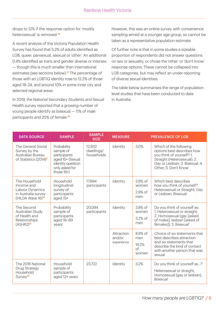drops to 12% if the response option for 'mostly heterosexual' is removed.<sup>16</sup>

A recent analysis of the Victoria Population Health Survey has found that 5.2% of adults identified as LGB, queer, pansexual, asexual or 'other'. An additional 0.4% identified as trans and gender diverse or intersex — though this is much smaller than international estimates (see sections below).<sup>17</sup> The percentage of those with an LGBTIQ identity rose to 12.2% of those aged 18–24, and around 10% in some inner city and selected regional areas.

In 2019, the National Secondary Students and Sexual Health survey reported that a growing number of young people identify as bisexual — 11% of male participants and 20% of female.<sup>18</sup>

However, this was an online survey with convenience sampling aimed at a younger age group, so cannot be taken as a representative population estimate.

Of further note is that in some studies a sizeable proportion of respondents did not answer questions on sex or sexuality, or chose the 'other' or 'don't know' response options. These cannot be collapsed into LGB categories, but may reflect an under-reporting of diverse sexual identities.

The table below summarises the range of populationlevel studies that have been conducted to date in Australia.

| <b>DATA SOURCE</b>                                                                                     | <b>SAMPLE</b>                                                                                                        | <b>SAMPLE</b><br><b>SIZE</b>       | <b>MEASURE</b>                     |                                        | <b>PREVALENCE OF LGB</b>                                                                                                                                                     |
|--------------------------------------------------------------------------------------------------------|----------------------------------------------------------------------------------------------------------------------|------------------------------------|------------------------------------|----------------------------------------|------------------------------------------------------------------------------------------------------------------------------------------------------------------------------|
| The General Social<br>Survey by the<br>Australian Bureau<br>of Statistics (2014) <sup>3</sup>          | Probability<br>sample of<br>participants<br>aged 15+ (Sexual<br>identity question<br>only asked for<br>those $18+$ ) | 12,932<br>dwellings/<br>households | Identity                           | 3.0%                                   | Which of the following<br>options best describes how<br>you think of yourself? 1.<br>Straight (Heterosexual); 2.<br>Gay or Lesbian; 3. Bisexual; 4.<br>Other; 5. Don't Know' |
| The Household<br>Income and<br>Labour Dynamics<br>in Australia survey<br>(HILDA Wave 16) <sup>19</sup> | Household<br>longitudinal<br>survey of<br>participants<br>aged 15+                                                   | 17,694<br>participants             | Identity                           | 3.9% of<br>women<br>2.9% of<br>men     | Which best describes<br>how you think of yourself?<br>Heterosexual or Straight; Gay<br>or Lesbian; Bisexual                                                                  |
| The Second<br>Australian Study<br>of Health and<br>Relationships<br>(ASHR2) <sup>15</sup>              | Probability<br>sample of<br>participants<br>aged 16-69<br>years                                                      | 20.094<br>participants             | Identity                           | 3.8% of<br>women<br>3.2% of<br>men     | Do you think of yourself as:<br>1. Heterosexual or straight;<br>2. Homosexual (gay [asked<br>of males]; lesbian [asked of<br>females]); 3. Bisexual'                         |
|                                                                                                        |                                                                                                                      |                                    | Attraction<br>and/or<br>experience | 8.9% of<br>men<br>19.2%<br>of<br>women | Choice of six statements that<br>best describes attraction<br>and six statements that<br>describe the kind of contact<br>with another person that was<br>sexual              |
| The 2016 National<br>Drug Strategy<br>Household<br>Survey <sup>14</sup>                                | Household<br>sample of<br>participants<br>aged 12+ years                                                             | 23,722                             | Identity                           | 3.2%                                   | Do you think of yourself as?<br>Heterosexual or straight,<br>Homosexual (gay or lesbian),<br>Bisexual                                                                        |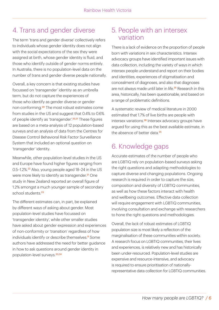# 4. Trans and gender diverse

The term 'trans and gender diverse' collectively refers to individuals whose gender identity does not align with the social expectations of the sex they were assigned at birth, whose gender identity is fluid, and those who identify outside of gender norms entirely. In Australia, there is no population-level data on the number of trans and gender diverse people nationally.

Overall, a key concern is that existing studies have focussed on 'transgender' identity as an umbrella term, but do not capture the experiences of those who identify as gender diverse or gender non-conforming.20 The most robust estimates come from studies in the US and suggest that 0.4% to 0.6% of people identify as 'transgender'.<sup>20,21</sup> These figures are based on a meta-analysis of 12 population-based surveys and an analysis of data from the Centres for Disease Control Behavioral Risk Factor Surveillance System that included an optional question on 'transgender' identity.

Meanwhile, other population-level studies in the US and Europe have found higher figures ranging from 0.5–1.2%.<sup>22</sup> Also, young people aged 18–24 in the US were more likely to identify as transgender.<sup>21</sup> One study in New Zealand reported an overall figure of 1.2% amongst a much younger sample of secondary school students.<sup>23</sup>

The different estimates can, in part, be explained by different ways of asking about gender. Most population-level studies have focussed on 'transgender identity', while other smaller studies have asked about gender expression and experiences of non-conformity or 'transition' regardless of how individuals identify or describe themselves.<sup>8</sup> Some authors have addressed the need for better guidance in how to ask questions around gender identity in population-level surveys.<sup>20,24</sup>

#### 5. People with an intersex variation

There is a lack of evidence on the proportion of people born with variations in sex characteristics. Intersex advocacy groups have identified important issues with data collection, including the variety of ways in which intersex people understand and report on their bodies and identities, experiences of stigmatisation and concealment of diagnoses, and also that diagnoses are not always made until later in life.<sup>25</sup> Research in this area, historically, has been questionable, and based on a range of problematic definitions.

A systematic review of medical literature in 2000 estimated that 1.7% of live births are people with intersex variations.<sup>26</sup> Intersex advocacy groups have argued for using this as the best available estimate, in the absence of better data<sup>25</sup>

# 6. Knowledge gaps

Accurate estimates of the number of people who are LGBTIQ rely on population-based surveys asking the right questions and adapting methodologies to capture diverse and changing populations. Ongoing research is required in order to capture the size, composition and diversity of LGBTIQ communities, as well as how these factors interact with health and wellbeing outcomes. Effective data collection will require engagement with LGBTIQ communities, involving consultation and exchange with researchers to hone the right questions and methodologies.

Overall, the lack of robust estimates of LGBTIQ population size is most likely a reflection of the marginalisation of these communities within society. A research focus on LGBTIQ communities, their lives and experiences, is relatively new and has historically been under-resourced. Population-level studies are expensive and resource-intensive, and advocacy is required to ensure prioritisation of nationallyrepresentative data collection for LGBTIQ communities.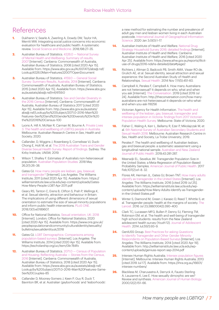### References

- **1.** Dukhanin V, Searle A, Zwerling A, Dowdy DW, Taylor HA, [Merritt MW. Integrating social justice concerns into economic](https://doi.org/10.1016/j.socscimed.2017.12.012)  evaluation for healthcare and public health: A systematic review. Social Science and Medicine. 2018;198:27–35.
- **2.** Australian Bureau of Statistics. 4326.0 National Survey of Mental Health and Wellbeing: Summary of results, 2007 [Internet]. Canberra: Commonwealth of Australia, Australian Bureau of Statistics; 2008 [cited 2020 Apr 15]. [Available from: https://www.abs.gov.au/AUSSTATS/abs@.nsf/](https://www.abs.gov.au/statistics/health/mental-health/national-survey-mental-health-and-wellbeing-summary-results/latest-release) Lookup/4326.0Main+Features32007?OpenDocument
- **3.** Australian Bureau of Statistics. 4159.0 General Social [Survey: Summary Results, Australia, 2014 \[Internet\]. Canberra:](https://www.abs.gov.au/statistics/people/people-and-communities/general-social-survey-summary-results-australia/2014)  Commonwealth of Australia, Australian Bureau of Statistics; 2015 [cited 2020 Apr 15]. Available from: https://www.abs.gov. au/ausstats/abs@.nsf/mf/4159.0
- **4.** [Australian Bureau of Statistics. Sex and Gender Diversity in](https://www.abs.gov.au/ausstats/abs@.nsf/Lookup/by%20Subject/2071.0~2016~Main%20Features~Sex%20and%20Gender%20Diversity%20in%20the%202016%20Census~100)  the 2016 Census [Internet]. Canberra: Commonwealth of Australia, Australian Bureau of Statistics 2017 [cited 2020 Apr 15]. Available from: http://www.abs.gov.au/ausstats/ abs@.nsf/Lookup/by%20Subject/2071.0~2016~Main%20 Features~Sex%20and%20Gender%20Diversity%20in%20 the%202016%20Census~100
- **5.** [Lyons A, Hill A, McNair R, Carman M, Bourne A. Private Lives](https://www.latrobe.edu.au/arcshs/publications/private-lives/private-lives-3)  3: The health and wellbeing of LGBTIQ people in Australia. Melbourne: Australian Research Centre in Sex, Health and Society; 2020.
- **6.** Callander, D, Wiggins J, Rosenberg S, Cornelisse VJ, Duck-Chong E, Holt M, et al. The 2018 Australian Trans and Gender [Diverse Sexual Health Survey: Report of findings. Sydney: The](https://kirby.unsw.edu.au/sites/default/files/kirby/report/ATGD-Sexual-Health-Survey-Report_2018.pdf)  Kirby Institute, UNSW; 2019.
- **7.** [Wilson T, Shalley F. Estimates of Australia's non-heterosexual](https://doi.org/10.37970/aps.v2i1.23)  population. Australian Population Studies. 2018 May 26;2(1):26–38.
- **8.** Gates GJ. How many people are lesbian, gay, bisexual, and transgender? [Internet]. Los Angeles: The Williams Institute; 2011 [cited 2020 Apr 15]. Available from: https:// [williamsinstitute.law.ucla.edu/wp-content/uploads/Gates-](https://williamsinstitute.law.ucla.edu/wp-content/uploads/How-Many-People-LGBT-Apr-2011.pdf)How-Many-People-LGBT-Apr-2011.pdf
- **9.** Geary RS, Tanton C, Erens B, Clifton S, Prah P, Wellings K, et al. Sexual identity, attraction and behaviour in Britain: The implications of using different dimensions of sexual [orientation to estimate the size of sexual minority populations](https://doi.org/10.1371/journal.pone.0189607)  and inform public health interventions. PLoS ONE. 2018;13(1):e0189607.
- **10.** Office for National Statistics. Sexual orientation, UK: 2018 [Internet]. London; Office for National Statistics; 2020 [\[cited 2020 Apr 15\]. Available from: https://www.ons.gov.uk/](https://www.ons.gov.uk/peoplepopulationandcommunity/culturalidentity/sexuality/bulletins/sexualidentityuk/2018) peoplepopulationandcommunity/culturalidentity/sexuality/ bulletins/sexualidentityuk/2018
- **11.** Gates GJ. LGBT Demographics: Comparisons among population-based surveys. [Internet]. Los Angeles: The [Williams Institute; 2014 \[cited 2020 Apr 15\]. Available from:](https://williamsinstitute.law.ucla.edu/wp-content/uploads/LGBT-Demographics-Comparison-Oct-2014.pdf)  https://escholarship.org/uc/item/0kr784fx
- **12.** [Australian Bureau of Statistics. 2071.0 Census of Population](https://www.abs.gov.au/ausstats/abs@.nsf/Lookup/by%20Subject/2071.0~2016~Main%20Features~Same-Sex%20Couples~85)  and Housing: Reflecting Australia — Stories from the Census, 2016 [Internet]. Canberra: Commonwealth of Australia, Australian Bureau of Statistics; 2018 [cited 2020 Apr 15]. Available from: https://www.abs.gov.au/ausstats/abs@.nsf/ Lookup/by%20Subject/2071.0~2016~Main%20Features~Same-Sex%20Couples~85
- **13.** Callander D, Mooney-Somers J, Keen P, Guy R, Duck T, [Bavinton BR, et al. Australian 'gayborhoods' and 'lesborhoods':](https://doi.org/10.1080/13658816.2019.1709973)

a new method for estimating the number and prevalence of adult gay men and lesbian women living in each Australian [postcode. International Journal of Geographical Information](https://doi.org/10.1080/13658816.2019.1709973)  Science. 2020 Jan 3;0(0):1–17.

- **14.** Australian Institute of Health and Welfare. National Drug Strategy Household Survey 2016: detailed findings [Internet]. Australian Institute of Health and Welfare. Canberra: Australian Institute of Health and Welfare; 2016 [cited 2020 [Apr 25\]. Available from: https://www.aihw.gov.au/reports/illicit](https://www.aihw.gov.au/getmedia/15db8c15-7062-4cde-bfa4-3c2079f30af3/21028a.pdf.aspx)use-of-drugs/2016-ndshs-detailed/data#page2
- **15.** Richters J, Altman D, Badcock PB, Smith AMA, Visser RO de, [Grulich AE, et al. Sexual identity, sexual attraction and sexual](https://doi.org/10.1071/sh14117)  experience: the Second Australian Study of Health and Relationships. Sexual Health. 2014 Nov 7;11(5):451-60.
- **16.** Campbell A, Perales F, Campbell A. How many Australians are not heterosexual? It depends on who, what and when you ask [Internet]. The Conversation. 2019 [cited 2019 Jul [24\]. Available from: http://theconversation.com/how-many](https://theconversation.com/how-many-australians-are-not-heterosexual-it-depends-on-who-what-and-when-you-ask-118256)australians-are-not-heterosexual-it-depends-on-who-whatand-when-you-ask-118256
- **17.** Victorian Agency for Health Information. The health and wellbeing of the lesbian, gay, bisexual, transgender and intersex population in Victoria: findings from 2017 Victorian [Population Health Survey. Melbourne: State of Victoria; 2020.](https://www.safercare.vic.gov.au/sites/default/files/2020-09/The-health-and-wellbeing-of-the-LGBTIQ-population-in-Victoria.pdf)
- **18.** Fisher C, Waling A, Kerr L, Bellamy R, Ezer P, Mikolajczak M, et al. 6th National Survey of Australian Secondary Students and [Sexual Health 2018. Melbourne: Australian Research Centre in](https://www.latrobe.edu.au/arcshs/publications/young-people-and-sexual-health)  Sex, Health and Society, La Trobe University; 2019.
- **19.** Perales F. The health and wellbeing of Australian lesbian, [gay and bisexual people: a systematic assessment using a](https://doi.org/10.1111/1753-6405.12855)  longitudinal national sample. Australian and New Zealand Journal of Public Health. 2019;43:281-287.
- **20.** Meerwijk EL, Sevelius JM. Transgender Population Size in the United States: a Meta-Regression of Population-Based [Probability Samples. American Journal of Public Health. 2017](https://doi.org/10.2105/ajph.2016.303578)  Feb;107(2):e1–8. 32.
- **21.** Flores AR, Herman JL, Gates GJ, Brown TNT. How many adults identify as transgender in the United States [Internet]. Los Angeles: The Williams Institute; 2016 [cited 2019 Jul 25]. Available from: https://williamsinstitute.law.ucla.edu/wpcontent/uploads/How-Many-Adults-Identify-as-Transgenderin-the-United-States.pdf
- **22.** [Winter S, Diamond M, Green J, Karasic D, Reed T, Whittle S, et](https://doi.org/10.1016/s0140-6736(16)00683-8)  al. Transgender people: health at the margins of society. The Lancet. 2016 Jul 23;388(10042):390–400.
- **23.** Clark TC, Lucassen MFG, Bullen P, Denny SJ, Fleming TM, [Robinson EM, et al. The health and well-being of transgender](https://doi.org/10.1016/j.jadohealth.2013.11.008)  high school students: results from the New Zealand adolescent health survey (Youth'12). Journal of Adolescent Health. 2014 Jul;55(1):93–9.
- **24.** GenIUSS Group. Best Practices for asking Questions to Identify Transgender and Other Gender Minority [Respondents on Population-Based Surveys \[Internet\]. Los](https://williamsinstitute.law.ucla.edu/publications/geniuss-trans-pop-based-survey/)  Angeles: The Williams Institute; 2014 [cited 2020 Apr 19]. Available from: http://williamsinstitute.law.ucla.edu/wpcontent/uploads/geniuss-report-sep-2014.pdf
- **25.** Intersex Human Rights Australia. Intersex population figures [\[Internet\]. Melbourne: Intersex Human Rights Australia; 2013](https://ihra.org.au/16601/intersex-numbers/)  [cited 2019 Jul 17]. Available from: https://ihra.org.au/16601/ intersex-numbers/
- **26.** Blackless M, Charuvastra A, Derryck A, Fausto Sterling A, Lauzanne K, Lee E. How sexually dimorphic are we? [Review and synthesis. American Journal of Human Biology.](https://doi.org/10.1002/(sici)1520-6300(200003/04)12:2%3C151::aid-ajhb1%3E3.0.co;2-f) 2000;12(2):151–66.